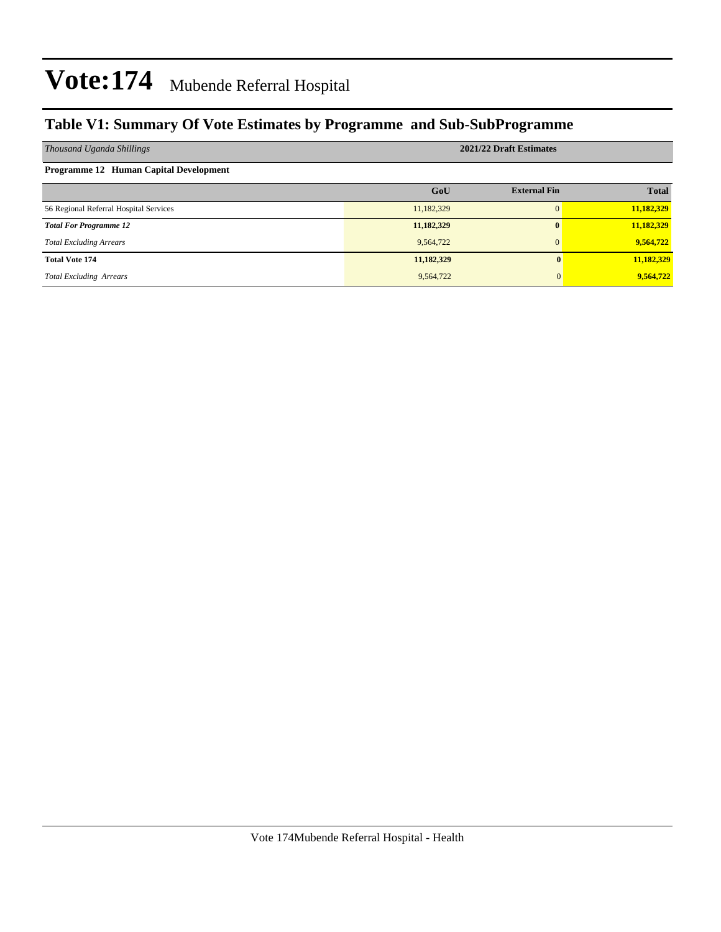### **Table V1: Summary Of Vote Estimates by Programme and Sub-SubProgramme**

| Thousand Uganda Shillings              | 2021/22 Draft Estimates |                     |              |  |  |  |  |  |  |
|----------------------------------------|-------------------------|---------------------|--------------|--|--|--|--|--|--|
| Programme 12 Human Capital Development |                         |                     |              |  |  |  |  |  |  |
|                                        | GoU                     | <b>External Fin</b> | <b>Total</b> |  |  |  |  |  |  |
| 56 Regional Referral Hospital Services | 11,182,329              | $\Omega$            | 11,182,329   |  |  |  |  |  |  |
| <b>Total For Programme 12</b>          | 11,182,329              | $\mathbf{0}$        | 11,182,329   |  |  |  |  |  |  |
| <b>Total Excluding Arrears</b>         | 9,564,722               | $\Omega$            | 9,564,722    |  |  |  |  |  |  |
| <b>Total Vote 174</b>                  | 11,182,329              |                     | 11,182,329   |  |  |  |  |  |  |
| <b>Total Excluding Arrears</b>         | 9,564,722               |                     | 9,564,722    |  |  |  |  |  |  |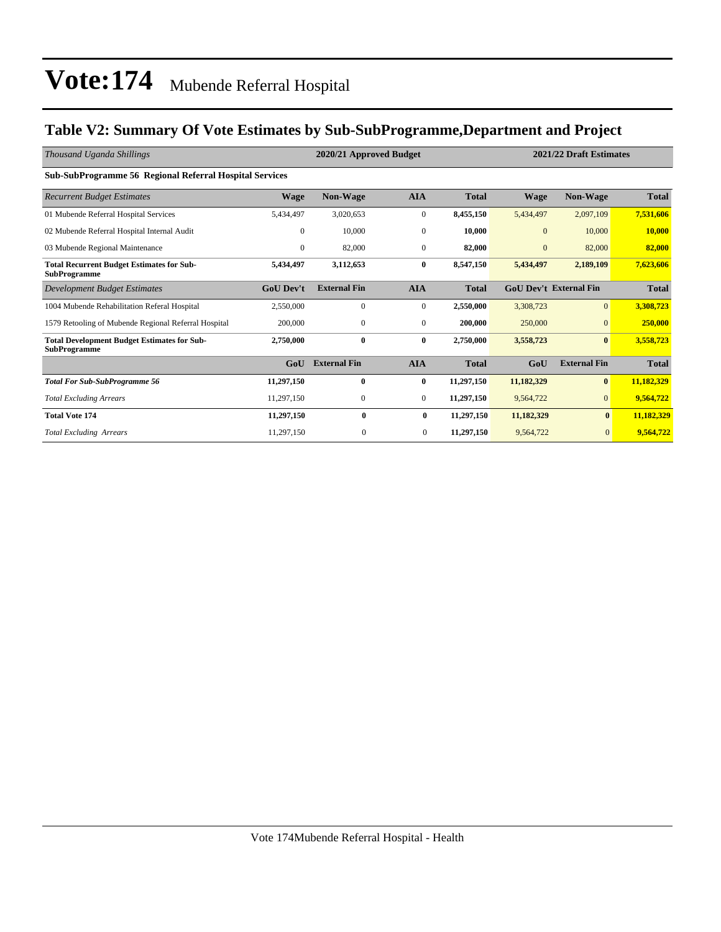### **Table V2: Summary Of Vote Estimates by Sub-SubProgramme,Department and Project**

| Thousand Uganda Shillings                                                 |                  | 2021/22 Draft Estimates<br>2020/21 Approved Budget |                  |              |              |                               |              |
|---------------------------------------------------------------------------|------------------|----------------------------------------------------|------------------|--------------|--------------|-------------------------------|--------------|
| Sub-SubProgramme 56 Regional Referral Hospital Services                   |                  |                                                    |                  |              |              |                               |              |
| <b>Recurrent Budget Estimates</b>                                         | <b>Wage</b>      | Non-Wage                                           | <b>AIA</b>       | <b>Total</b> | Wage         | Non-Wage                      | <b>Total</b> |
| 01 Mubende Referral Hospital Services                                     | 5,434,497        | 3,020,653                                          | $\boldsymbol{0}$ | 8,455,150    | 5,434,497    | 2,097,109                     | 7,531,606    |
| 02 Mubende Referral Hospital Internal Audit                               | $\mathbf{0}$     | 10,000                                             | $\mathbf{0}$     | 10,000       | $\mathbf{0}$ | 10,000                        | 10,000       |
| 03 Mubende Regional Maintenance                                           | $\mathbf{0}$     | 82,000                                             | $\mathbf{0}$     | 82,000       | $\mathbf{0}$ | 82,000                        | 82,000       |
| <b>Total Recurrent Budget Estimates for Sub-</b><br><b>SubProgramme</b>   | 5,434,497        | 3,112,653                                          | $\bf{0}$         | 8,547,150    | 5,434,497    | 2,189,109                     | 7,623,606    |
| <b>Development Budget Estimates</b>                                       | <b>GoU Dev't</b> | <b>External Fin</b>                                | <b>AIA</b>       | <b>Total</b> |              | <b>GoU Dev't External Fin</b> | <b>Total</b> |
| 1004 Mubende Rehabilitation Referal Hospital                              | 2,550,000        | $\Omega$                                           | $\mathbf{0}$     | 2,550,000    | 3,308,723    | $\Omega$                      | 3,308,723    |
| 1579 Retooling of Mubende Regional Referral Hospital                      | 200,000          | $\mathbf{0}$                                       | $\mathbf{0}$     | 200,000      | 250,000      | $\overline{0}$                | 250,000      |
| <b>Total Development Budget Estimates for Sub-</b><br><b>SubProgramme</b> | 2,750,000        | 0                                                  | $\bf{0}$         | 2,750,000    | 3,558,723    | $\bf{0}$                      | 3,558,723    |
|                                                                           | GoU              | <b>External Fin</b>                                | <b>AIA</b>       | <b>Total</b> | GoU          | <b>External Fin</b>           | <b>Total</b> |
| <b>Total For Sub-SubProgramme 56</b>                                      | 11,297,150       | $\mathbf{0}$                                       | $\bf{0}$         | 11,297,150   | 11,182,329   | $\bf{0}$                      | 11,182,329   |
| <b>Total Excluding Arrears</b>                                            | 11,297,150       | $\mathbf{0}$                                       | $\mathbf{0}$     | 11,297,150   | 9,564,722    | $\overline{0}$                | 9,564,722    |
| <b>Total Vote 174</b>                                                     | 11,297,150       | $\bf{0}$                                           | $\bf{0}$         | 11,297,150   | 11,182,329   | $\bf{0}$                      | 11,182,329   |
| <b>Total Excluding Arrears</b>                                            | 11,297,150       | $\mathbf{0}$                                       | $\overline{0}$   | 11,297,150   | 9,564,722    | $\overline{0}$                | 9,564,722    |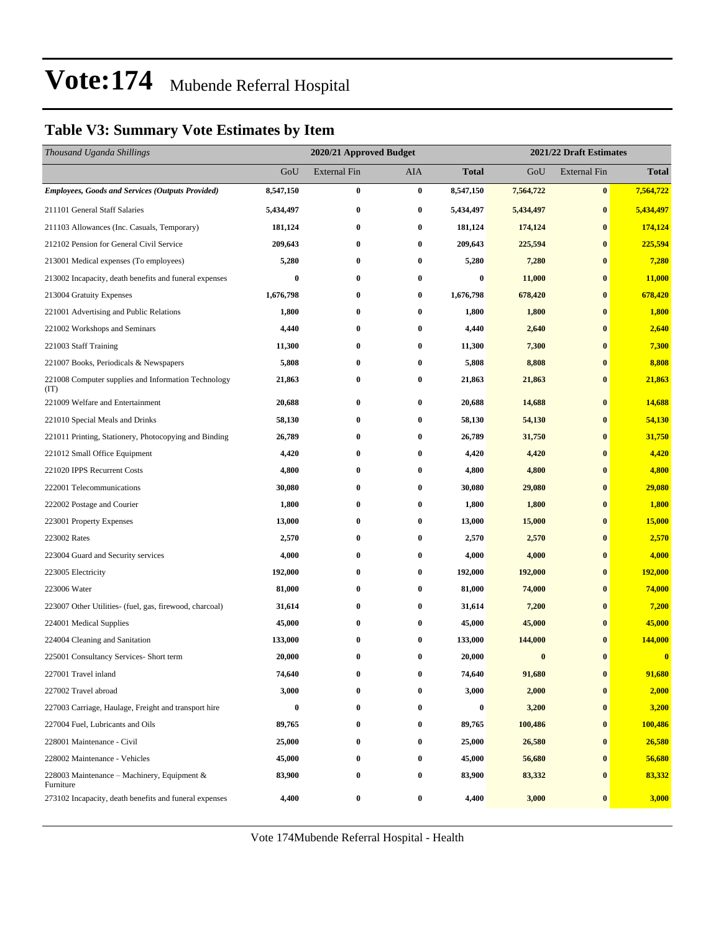### **Table V3: Summary Vote Estimates by Item**

| Thousand Uganda Shillings                                   |                  | 2020/21 Approved Budget |            |              | 2021/22 Draft Estimates |                     |              |  |  |
|-------------------------------------------------------------|------------------|-------------------------|------------|--------------|-------------------------|---------------------|--------------|--|--|
|                                                             | GoU              | <b>External Fin</b>     | <b>AIA</b> | <b>Total</b> | GoU                     | <b>External Fin</b> | <b>Total</b> |  |  |
| <b>Employees, Goods and Services (Outputs Provided)</b>     | 8,547,150        | $\bf{0}$                | $\bf{0}$   | 8,547,150    | 7,564,722               | $\bf{0}$            | 7,564,722    |  |  |
| 211101 General Staff Salaries                               | 5,434,497        | $\bf{0}$                | 0          | 5,434,497    | 5,434,497               | $\bf{0}$            | 5,434,497    |  |  |
| 211103 Allowances (Inc. Casuals, Temporary)                 | 181,124          | $\bf{0}$                | $\bf{0}$   | 181,124      | 174,124                 | $\bf{0}$            | 174,124      |  |  |
| 212102 Pension for General Civil Service                    | 209,643          | $\bf{0}$                | 0          | 209,643      | 225,594                 | $\bf{0}$            | 225,594      |  |  |
| 213001 Medical expenses (To employees)                      | 5,280            | $\bf{0}$                | 0          | 5,280        | 7,280                   | $\bf{0}$            | 7,280        |  |  |
| 213002 Incapacity, death benefits and funeral expenses      | $\boldsymbol{0}$ | $\bf{0}$                | 0          | $\bf{0}$     | 11,000                  | $\bf{0}$            | 11,000       |  |  |
| 213004 Gratuity Expenses                                    | 1,676,798        | $\bf{0}$                | 0          | 1,676,798    | 678,420                 | $\bf{0}$            | 678,420      |  |  |
| 221001 Advertising and Public Relations                     | 1,800            | $\bf{0}$                | $\bf{0}$   | 1,800        | 1,800                   | $\bf{0}$            | 1,800        |  |  |
| 221002 Workshops and Seminars                               | 4,440            | $\bf{0}$                | 0          | 4,440        | 2,640                   | $\bf{0}$            | 2,640        |  |  |
| 221003 Staff Training                                       | 11,300           | $\bf{0}$                | 0          | 11,300       | 7,300                   | $\bf{0}$            | 7,300        |  |  |
| 221007 Books, Periodicals & Newspapers                      | 5,808            | $\bf{0}$                | 0          | 5,808        | 8,808                   | $\bf{0}$            | 8,808        |  |  |
| 221008 Computer supplies and Information Technology<br>(TT) | 21,863           | $\bf{0}$                | 0          | 21,863       | 21,863                  | $\bf{0}$            | 21,863       |  |  |
| 221009 Welfare and Entertainment                            | 20,688           | $\bf{0}$                | $\bf{0}$   | 20,688       | 14,688                  | $\bf{0}$            | 14,688       |  |  |
| 221010 Special Meals and Drinks                             | 58,130           | $\bf{0}$                | 0          | 58,130       | 54,130                  | $\bf{0}$            | 54,130       |  |  |
| 221011 Printing, Stationery, Photocopying and Binding       | 26,789           | $\bf{0}$                | 0          | 26,789       | 31,750                  | $\bf{0}$            | 31,750       |  |  |
| 221012 Small Office Equipment                               | 4,420            | $\bf{0}$                | 0          | 4,420        | 4,420                   | $\bf{0}$            | 4,420        |  |  |
| 221020 IPPS Recurrent Costs                                 | 4,800            | $\bf{0}$                | 0          | 4,800        | 4,800                   | $\bf{0}$            | 4,800        |  |  |
| 222001 Telecommunications                                   | 30,080           | $\bf{0}$                | 0          | 30,080       | 29,080                  | $\bf{0}$            | 29,080       |  |  |
| 222002 Postage and Courier                                  | 1,800            | $\bf{0}$                | 0          | 1,800        | 1,800                   | $\bf{0}$            | 1,800        |  |  |
| 223001 Property Expenses                                    | 13,000           | $\bf{0}$                | 0          | 13,000       | 15,000                  | $\bf{0}$            | 15,000       |  |  |
| 223002 Rates                                                | 2,570            | $\bf{0}$                | 0          | 2,570        | 2,570                   | $\bf{0}$            | 2,570        |  |  |
| 223004 Guard and Security services                          | 4,000            | $\bf{0}$                | 0          | 4,000        | 4,000                   | $\bf{0}$            | 4,000        |  |  |
| 223005 Electricity                                          | 192,000          | $\bf{0}$                | 0          | 192,000      | 192,000                 | $\bf{0}$            | 192,000      |  |  |
| 223006 Water                                                | 81,000           | $\bf{0}$                | 0          | 81,000       | 74,000                  | $\bf{0}$            | 74,000       |  |  |
| 223007 Other Utilities- (fuel, gas, firewood, charcoal)     | 31,614           | $\bf{0}$                | 0          | 31,614       | 7,200                   | $\bf{0}$            | 7,200        |  |  |
| 224001 Medical Supplies                                     | 45,000           | $\bf{0}$                | 0          | 45,000       | 45,000                  | $\bf{0}$            | 45,000       |  |  |
| 224004 Cleaning and Sanitation                              | 133,000          | $\bf{0}$                | 0          | 133,000      | 144,000                 | $\bf{0}$            | 144,000      |  |  |
| 225001 Consultancy Services- Short term                     | 20,000           | $\bf{0}$                | 0          | 20,000       | $\boldsymbol{0}$        | $\bf{0}$            | $\bf{0}$     |  |  |
| 227001 Travel inland                                        | 74,640           | 0                       | 0          | 74,640       | 91,680                  | $\bf{0}$            | 91,680       |  |  |
| 227002 Travel abroad                                        | 3,000            | $\bf{0}$                | 0          | 3,000        | 2,000                   | $\bf{0}$            | 2,000        |  |  |
| 227003 Carriage, Haulage, Freight and transport hire        | $\bf{0}$         | $\bf{0}$                | 0          | $\bf{0}$     | 3,200                   | $\bf{0}$            | 3,200        |  |  |
| 227004 Fuel, Lubricants and Oils                            | 89,765           | $\bf{0}$                | 0          | 89,765       | 100,486                 | $\bf{0}$            | 100,486      |  |  |
| 228001 Maintenance - Civil                                  | 25,000           | $\bf{0}$                | 0          | 25,000       | 26,580                  | $\bf{0}$            | 26,580       |  |  |
| 228002 Maintenance - Vehicles                               | 45,000           | $\bf{0}$                | 0          | 45,000       | 56,680                  | $\bf{0}$            | 56,680       |  |  |
| 228003 Maintenance – Machinery, Equipment &<br>Furniture    | 83,900           | $\bf{0}$                | 0          | 83,900       | 83,332                  | $\bf{0}$            | 83,332       |  |  |
| 273102 Incapacity, death benefits and funeral expenses      | 4,400            | $\bf{0}$                | 0          | 4,400        | 3,000                   | $\bf{0}$            | 3,000        |  |  |

Vote 174Mubende Referral Hospital - Health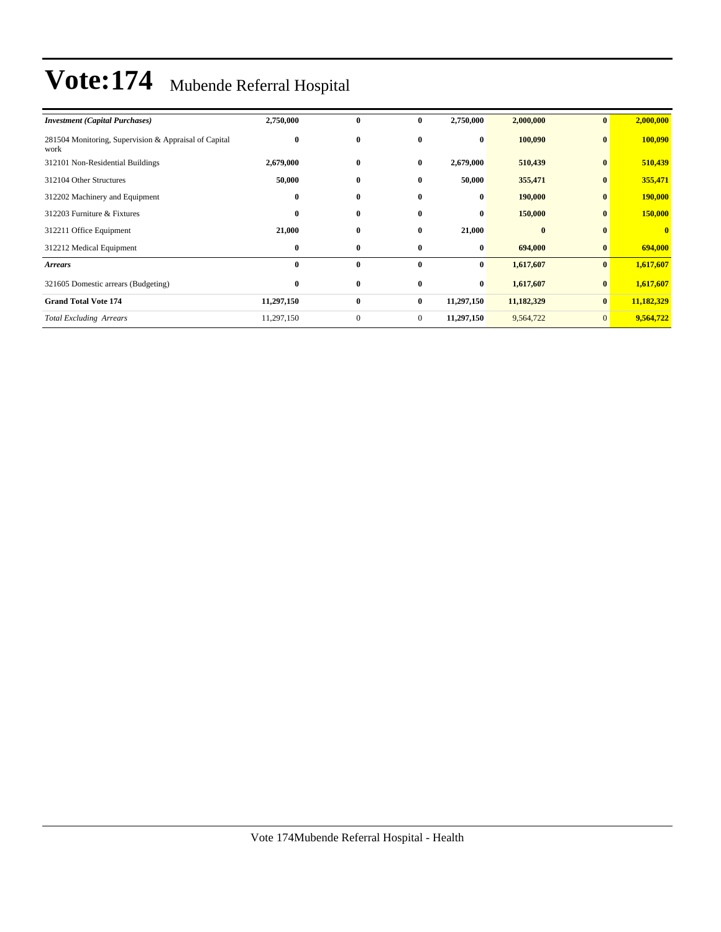| <b>Investment (Capital Purchases)</b>                         | 2,750,000  | $\bf{0}$     | $\mathbf{0}$   | 2,750,000  | 2,000,000  | $\bf{0}$       | 2,000,000    |
|---------------------------------------------------------------|------------|--------------|----------------|------------|------------|----------------|--------------|
| 281504 Monitoring, Supervision & Appraisal of Capital<br>work | $\bf{0}$   | $\bf{0}$     | $\bf{0}$       | $\bf{0}$   | 100,090    | $\bf{0}$       | 100,090      |
| 312101 Non-Residential Buildings                              | 2,679,000  | $\bf{0}$     | $\bf{0}$       | 2,679,000  | 510,439    | $\bf{0}$       | 510,439      |
| 312104 Other Structures                                       | 50,000     | $\bf{0}$     | $\bf{0}$       | 50,000     | 355,471    | $\bf{0}$       | 355,471      |
| 312202 Machinery and Equipment                                | $\bf{0}$   | $\bf{0}$     | $\bf{0}$       | $\bf{0}$   | 190,000    | $\bf{0}$       | 190,000      |
| 312203 Furniture & Fixtures                                   | $\bf{0}$   | $\bf{0}$     | $\mathbf{0}$   | $\bf{0}$   | 150,000    | $\bf{0}$       | 150,000      |
| 312211 Office Equipment                                       | 21,000     | $\bf{0}$     | $\bf{0}$       | 21,000     | $\bf{0}$   | $\mathbf{0}$   | $\mathbf{0}$ |
| 312212 Medical Equipment                                      | $\bf{0}$   | $\bf{0}$     | $\bf{0}$       | $\bf{0}$   | 694,000    | $\bf{0}$       | 694,000      |
| <b>Arrears</b>                                                | $\bf{0}$   | $\bf{0}$     | $\bf{0}$       | $\bf{0}$   | 1,617,607  | $\bf{0}$       | 1,617,607    |
| 321605 Domestic arrears (Budgeting)                           | $\bf{0}$   | $\bf{0}$     | $\bf{0}$       | $\bf{0}$   | 1,617,607  | $\bf{0}$       | 1,617,607    |
| <b>Grand Total Vote 174</b>                                   | 11,297,150 | $\bf{0}$     | $\bf{0}$       | 11,297,150 | 11,182,329 | $\bf{0}$       | 11,182,329   |
| <b>Total Excluding Arrears</b>                                | 11,297,150 | $\mathbf{0}$ | $\overline{0}$ | 11,297,150 | 9,564,722  | $\overline{0}$ | 9,564,722    |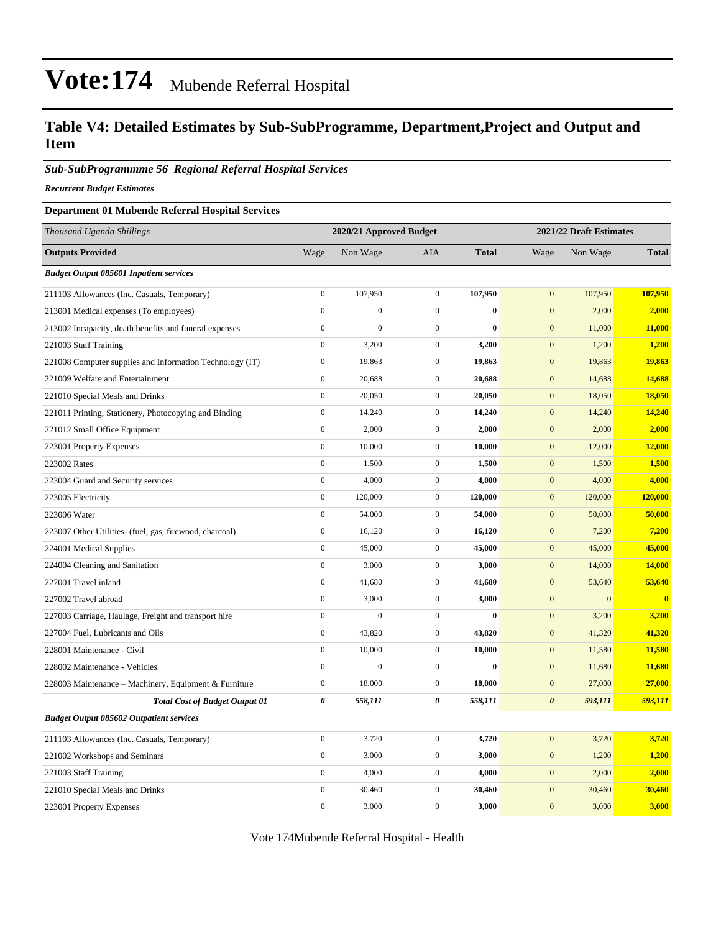### **Table V4: Detailed Estimates by Sub-SubProgramme, Department,Project and Output and Item**

#### *Sub-SubProgrammme 56 Regional Referral Hospital Services*

*Recurrent Budget Estimates*

#### **Department 01 Mubende Referral Hospital Services**

| Thousand Uganda Shillings                                |                  | 2020/21 Approved Budget |                  |              |                       | 2021/22 Draft Estimates |              |
|----------------------------------------------------------|------------------|-------------------------|------------------|--------------|-----------------------|-------------------------|--------------|
| <b>Outputs Provided</b>                                  | Wage             | Non Wage                | <b>AIA</b>       | <b>Total</b> | Wage                  | Non Wage                | <b>Total</b> |
| <b>Budget Output 085601 Inpatient services</b>           |                  |                         |                  |              |                       |                         |              |
| 211103 Allowances (Inc. Casuals, Temporary)              | $\boldsymbol{0}$ | 107,950                 | $\mathbf{0}$     | 107,950      | $\mathbf{0}$          | 107,950                 | 107,950      |
| 213001 Medical expenses (To employees)                   | $\boldsymbol{0}$ | $\overline{0}$          | $\mathbf{0}$     | $\bf{0}$     | $\mathbf{0}$          | 2,000                   | 2,000        |
| 213002 Incapacity, death benefits and funeral expenses   | $\overline{0}$   | $\overline{0}$          | $\mathbf{0}$     | $\bf{0}$     | $\mathbf{0}$          | 11,000                  | 11,000       |
| 221003 Staff Training                                    | $\boldsymbol{0}$ | 3,200                   | $\boldsymbol{0}$ | 3,200        | $\mathbf{0}$          | 1,200                   | 1,200        |
| 221008 Computer supplies and Information Technology (IT) | $\boldsymbol{0}$ | 19,863                  | $\mathbf{0}$     | 19,863       | $\mathbf{0}$          | 19,863                  | 19,863       |
| 221009 Welfare and Entertainment                         | $\boldsymbol{0}$ | 20,688                  | $\mathbf{0}$     | 20,688       | $\boldsymbol{0}$      | 14,688                  | 14,688       |
| 221010 Special Meals and Drinks                          | $\boldsymbol{0}$ | 20,050                  | $\mathbf{0}$     | 20,050       | $\mathbf{0}$          | 18,050                  | 18,050       |
| 221011 Printing, Stationery, Photocopying and Binding    | $\boldsymbol{0}$ | 14,240                  | $\boldsymbol{0}$ | 14,240       | $\boldsymbol{0}$      | 14,240                  | 14,240       |
| 221012 Small Office Equipment                            | $\boldsymbol{0}$ | 2,000                   | $\mathbf{0}$     | 2,000        | $\mathbf{0}$          | 2,000                   | 2,000        |
| 223001 Property Expenses                                 | $\boldsymbol{0}$ | 10,000                  | $\boldsymbol{0}$ | 10,000       | $\boldsymbol{0}$      | 12,000                  | 12,000       |
| 223002 Rates                                             | $\boldsymbol{0}$ | 1,500                   | $\boldsymbol{0}$ | 1,500        | $\boldsymbol{0}$      | 1,500                   | 1,500        |
| 223004 Guard and Security services                       | $\boldsymbol{0}$ | 4,000                   | $\mathbf{0}$     | 4,000        | $\boldsymbol{0}$      | 4,000                   | 4,000        |
| 223005 Electricity                                       | $\boldsymbol{0}$ | 120,000                 | $\mathbf{0}$     | 120,000      | $\mathbf{0}$          | 120,000                 | 120,000      |
| 223006 Water                                             | $\boldsymbol{0}$ | 54,000                  | $\mathbf{0}$     | 54,000       | $\boldsymbol{0}$      | 50,000                  | 50,000       |
| 223007 Other Utilities- (fuel, gas, firewood, charcoal)  | $\boldsymbol{0}$ | 16,120                  | $\boldsymbol{0}$ | 16,120       | $\boldsymbol{0}$      | 7,200                   | 7,200        |
| 224001 Medical Supplies                                  | $\boldsymbol{0}$ | 45,000                  | $\mathbf{0}$     | 45,000       | $\boldsymbol{0}$      | 45,000                  | 45,000       |
| 224004 Cleaning and Sanitation                           | $\mathbf{0}$     | 3,000                   | $\boldsymbol{0}$ | 3,000        | $\boldsymbol{0}$      | 14,000                  | 14,000       |
| 227001 Travel inland                                     | $\boldsymbol{0}$ | 41,680                  | $\mathbf{0}$     | 41,680       | $\boldsymbol{0}$      | 53,640                  | 53,640       |
| 227002 Travel abroad                                     | $\boldsymbol{0}$ | 3,000                   | $\boldsymbol{0}$ | 3,000        | $\boldsymbol{0}$      | $\mathbf{0}$            | $\bf{0}$     |
| 227003 Carriage, Haulage, Freight and transport hire     | $\boldsymbol{0}$ | $\overline{0}$          | $\mathbf{0}$     | $\bf{0}$     | $\mathbf{0}$          | 3,200                   | 3,200        |
| 227004 Fuel, Lubricants and Oils                         | $\boldsymbol{0}$ | 43,820                  | $\boldsymbol{0}$ | 43,820       | $\boldsymbol{0}$      | 41,320                  | 41,320       |
| 228001 Maintenance - Civil                               | $\boldsymbol{0}$ | 10,000                  | $\boldsymbol{0}$ | 10,000       | $\mathbf{0}$          | 11,580                  | 11,580       |
| 228002 Maintenance - Vehicles                            | $\boldsymbol{0}$ | $\boldsymbol{0}$        | $\boldsymbol{0}$ | $\bf{0}$     | $\boldsymbol{0}$      | 11,680                  | 11,680       |
| 228003 Maintenance - Machinery, Equipment & Furniture    | $\boldsymbol{0}$ | 18,000                  | $\mathbf{0}$     | 18,000       | $\mathbf{0}$          | 27,000                  | 27,000       |
| <b>Total Cost of Budget Output 01</b>                    | $\pmb{\theta}$   | 558,111                 | $\pmb{\theta}$   | 558,111      | $\boldsymbol{\theta}$ | 593,111                 | 593,111      |
| <b>Budget Output 085602 Outpatient services</b>          |                  |                         |                  |              |                       |                         |              |
| 211103 Allowances (Inc. Casuals, Temporary)              | $\boldsymbol{0}$ | 3,720                   | $\boldsymbol{0}$ | 3,720        | $\mathbf{0}$          | 3,720                   | 3,720        |
| 221002 Workshops and Seminars                            | $\boldsymbol{0}$ | 3,000                   | $\mathbf{0}$     | 3,000        | $\mathbf{0}$          | 1,200                   | 1,200        |
| 221003 Staff Training                                    | $\boldsymbol{0}$ | 4,000                   | $\boldsymbol{0}$ | 4,000        | $\boldsymbol{0}$      | 2,000                   | 2,000        |
| 221010 Special Meals and Drinks                          | $\boldsymbol{0}$ | 30,460                  | $\mathbf{0}$     | 30,460       | $\mathbf{0}$          | 30,460                  | 30,460       |
| 223001 Property Expenses                                 | $\boldsymbol{0}$ | 3,000                   | $\boldsymbol{0}$ | 3,000        | $\mathbf{0}$          | 3,000                   | 3,000        |

Vote 174Mubende Referral Hospital - Health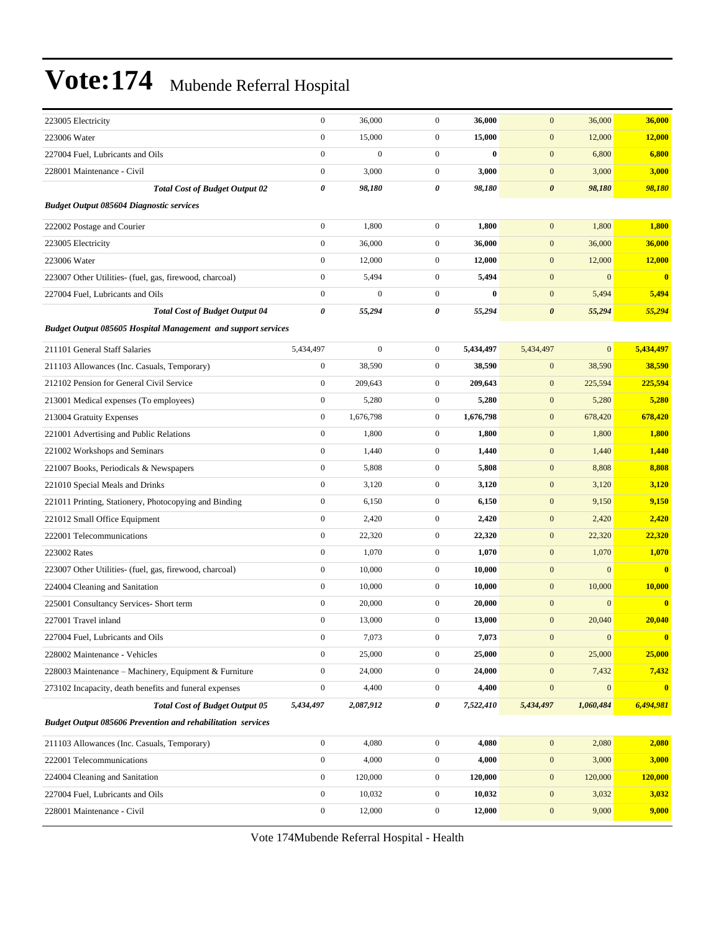| 223005 Electricity                                                   | $\boldsymbol{0}$      | 36,000           | $\mathbf{0}$     | 36,000    | $\boldsymbol{0}$      | 36,000           | 36,000           |
|----------------------------------------------------------------------|-----------------------|------------------|------------------|-----------|-----------------------|------------------|------------------|
| 223006 Water                                                         | $\boldsymbol{0}$      | 15,000           | $\mathbf{0}$     | 15,000    | $\boldsymbol{0}$      | 12,000           | 12,000           |
| 227004 Fuel, Lubricants and Oils                                     | $\boldsymbol{0}$      | $\boldsymbol{0}$ | $\boldsymbol{0}$ | $\bf{0}$  | $\boldsymbol{0}$      | 6,800            | 6,800            |
| 228001 Maintenance - Civil                                           | $\boldsymbol{0}$      | 3,000            | $\mathbf{0}$     | 3,000     | $\mathbf{0}$          | 3,000            | 3,000            |
| <b>Total Cost of Budget Output 02</b>                                | 0                     | 98,180           | 0                | 98,180    | $\boldsymbol{\theta}$ | 98,180           | 98,180           |
| <b>Budget Output 085604 Diagnostic services</b>                      |                       |                  |                  |           |                       |                  |                  |
| 222002 Postage and Courier                                           | $\boldsymbol{0}$      | 1,800            | $\boldsymbol{0}$ | 1,800     | $\mathbf{0}$          | 1,800            | 1,800            |
| 223005 Electricity                                                   | $\boldsymbol{0}$      | 36,000           | $\mathbf{0}$     | 36,000    | $\boldsymbol{0}$      | 36,000           | 36,000           |
| 223006 Water                                                         | $\boldsymbol{0}$      | 12,000           | $\mathbf{0}$     | 12,000    | $\boldsymbol{0}$      | 12,000           | 12,000           |
| 223007 Other Utilities- (fuel, gas, firewood, charcoal)              | $\boldsymbol{0}$      | 5,494            | $\mathbf{0}$     | 5,494     | $\mathbf{0}$          | $\boldsymbol{0}$ | $\bf{0}$         |
| 227004 Fuel, Lubricants and Oils                                     | $\boldsymbol{0}$      | $\boldsymbol{0}$ | $\boldsymbol{0}$ | $\bf{0}$  | $\mathbf{0}$          | 5,494            | 5,494            |
| <b>Total Cost of Budget Output 04</b>                                | $\boldsymbol{\theta}$ | 55,294           | 0                | 55,294    | $\boldsymbol{\theta}$ | 55,294           | 55,294           |
| <b>Budget Output 085605 Hospital Management and support services</b> |                       |                  |                  |           |                       |                  |                  |
| 211101 General Staff Salaries                                        | 5,434,497             | $\boldsymbol{0}$ | $\mathbf{0}$     | 5,434,497 | 5,434,497             | $\mathbf{0}$     | 5,434,497        |
| 211103 Allowances (Inc. Casuals, Temporary)                          | $\boldsymbol{0}$      | 38,590           | $\mathbf{0}$     | 38,590    | $\boldsymbol{0}$      | 38,590           | 38,590           |
| 212102 Pension for General Civil Service                             | $\boldsymbol{0}$      | 209,643          | $\mathbf{0}$     | 209,643   | $\mathbf{0}$          | 225,594          | 225,594          |
| 213001 Medical expenses (To employees)                               | $\boldsymbol{0}$      | 5,280            | $\mathbf{0}$     | 5,280     | $\boldsymbol{0}$      | 5,280            | 5,280            |
| 213004 Gratuity Expenses                                             | $\boldsymbol{0}$      | 1,676,798        | $\mathbf{0}$     | 1,676,798 | $\boldsymbol{0}$      | 678,420          | 678,420          |
| 221001 Advertising and Public Relations                              | $\boldsymbol{0}$      | 1,800            | $\mathbf{0}$     | 1,800     | $\mathbf{0}$          | 1,800            | 1,800            |
| 221002 Workshops and Seminars                                        | $\boldsymbol{0}$      | 1,440            | $\boldsymbol{0}$ | 1,440     | $\boldsymbol{0}$      | 1,440            | 1,440            |
| 221007 Books, Periodicals & Newspapers                               | $\boldsymbol{0}$      | 5,808            | $\mathbf{0}$     | 5,808     | $\mathbf{0}$          | 8,808            | 8,808            |
| 221010 Special Meals and Drinks                                      | $\boldsymbol{0}$      | 3,120            | $\mathbf{0}$     | 3,120     | $\mathbf{0}$          | 3,120            | 3,120            |
| 221011 Printing, Stationery, Photocopying and Binding                | $\boldsymbol{0}$      | 6,150            | $\boldsymbol{0}$ | 6,150     | $\boldsymbol{0}$      | 9,150            | 9,150            |
| 221012 Small Office Equipment                                        | $\boldsymbol{0}$      | 2,420            | $\mathbf{0}$     | 2,420     | $\mathbf{0}$          | 2,420            | 2,420            |
| 222001 Telecommunications                                            | $\boldsymbol{0}$      | 22,320           | $\mathbf{0}$     | 22,320    | $\mathbf{0}$          | 22,320           | 22,320           |
| 223002 Rates                                                         | $\boldsymbol{0}$      | 1,070            | $\mathbf{0}$     | 1,070     | $\mathbf{0}$          | 1,070            | 1,070            |
| 223007 Other Utilities- (fuel, gas, firewood, charcoal)              | $\boldsymbol{0}$      | 10,000           | $\mathbf{0}$     | 10,000    | $\boldsymbol{0}$      | $\mathbf{0}$     | $\bf{0}$         |
| 224004 Cleaning and Sanitation                                       | $\boldsymbol{0}$      | 10,000           | $\mathbf{0}$     | 10,000    | $\boldsymbol{0}$      | 10,000           | 10,000           |
| 225001 Consultancy Services- Short term                              | $\boldsymbol{0}$      | 20,000           | $\mathbf{0}$     | 20,000    | $\mathbf{0}$          | $\mathbf{0}$     | $\bf{0}$         |
| 227001 Travel inland                                                 | $\boldsymbol{0}$      | 13,000           | $\mathbf{0}$     | 13,000    | $\mathbf{0}$          | 20,040           | 20,040           |
| 227004 Fuel, Lubricants and Oils                                     | $\bf{0}$              | 7,073            | $\boldsymbol{0}$ | 7,073     | $\bf{0}$              | $\bf{0}$         | $\boldsymbol{0}$ |
| 228002 Maintenance - Vehicles                                        | $\mathbf{0}$          | 25,000           | $\mathbf{0}$     | 25,000    | $\mathbf{0}$          | 25,000           | 25,000           |
| 228003 Maintenance - Machinery, Equipment & Furniture                | $\boldsymbol{0}$      | 24,000           | $\boldsymbol{0}$ | 24,000    | $\boldsymbol{0}$      | 7,432            | 7,432            |
| 273102 Incapacity, death benefits and funeral expenses               | $\boldsymbol{0}$      | 4,400            | $\boldsymbol{0}$ | 4,400     | $\boldsymbol{0}$      | $\mathbf{0}$     | $\mathbf{0}$     |
| <b>Total Cost of Budget Output 05</b>                                | 5,434,497             | 2,087,912        | 0                | 7,522,410 | 5,434,497             | 1,060,484        | 6,494,981        |
| <b>Budget Output 085606 Prevention and rehabilitation services</b>   |                       |                  |                  |           |                       |                  |                  |
| 211103 Allowances (Inc. Casuals, Temporary)                          | $\boldsymbol{0}$      | 4,080            | $\boldsymbol{0}$ | 4,080     | $\mathbf{0}$          | 2,080            | 2,080            |
| 222001 Telecommunications                                            | $\boldsymbol{0}$      | 4,000            | $\boldsymbol{0}$ | 4,000     | $\boldsymbol{0}$      | 3,000            | 3,000            |
| 224004 Cleaning and Sanitation                                       | $\mathbf{0}$          | 120,000          | $\boldsymbol{0}$ | 120,000   | $\boldsymbol{0}$      | 120,000          | 120,000          |
| 227004 Fuel, Lubricants and Oils                                     | $\boldsymbol{0}$      | 10,032           | $\boldsymbol{0}$ | 10,032    | $\boldsymbol{0}$      | 3,032            | 3,032            |
| 228001 Maintenance - Civil                                           | $\boldsymbol{0}$      | 12,000           | $\boldsymbol{0}$ | 12,000    | $\boldsymbol{0}$      | 9,000            | 9,000            |
|                                                                      |                       |                  |                  |           |                       |                  |                  |

Vote 174Mubende Referral Hospital - Health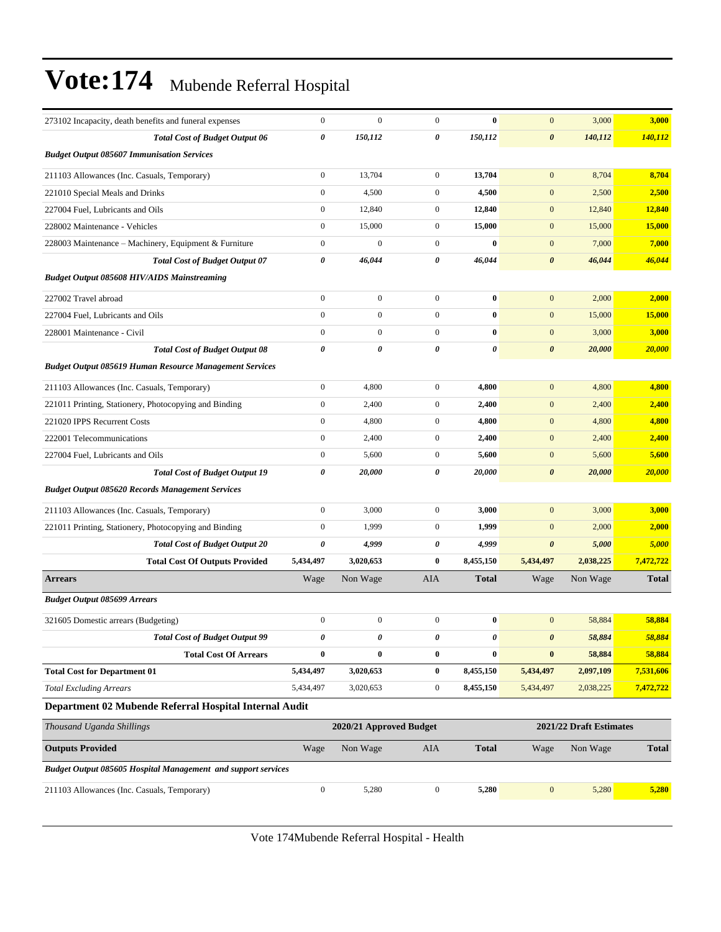| 273102 Incapacity, death benefits and funeral expenses         | $\boldsymbol{0}$      | $\mathbf{0}$            | $\mathbf{0}$     | $\bf{0}$     | $\mathbf{0}$          | 3,000                   | 3,000        |
|----------------------------------------------------------------|-----------------------|-------------------------|------------------|--------------|-----------------------|-------------------------|--------------|
| <b>Total Cost of Budget Output 06</b>                          | $\boldsymbol{\theta}$ | 150,112                 | 0                | 150,112      | $\boldsymbol{\theta}$ | 140,112                 | 140,112      |
| <b>Budget Output 085607 Immunisation Services</b>              |                       |                         |                  |              |                       |                         |              |
| 211103 Allowances (Inc. Casuals, Temporary)                    | $\boldsymbol{0}$      | 13,704                  | $\mathbf{0}$     | 13,704       | $\mathbf{0}$          | 8,704                   | 8,704        |
| 221010 Special Meals and Drinks                                | $\mathbf{0}$          | 4,500                   | $\mathbf{0}$     | 4,500        | $\mathbf{0}$          | 2,500                   | 2,500        |
| 227004 Fuel, Lubricants and Oils                               | $\boldsymbol{0}$      | 12,840                  | $\mathbf{0}$     | 12,840       | $\mathbf{0}$          | 12,840                  | 12,840       |
| 228002 Maintenance - Vehicles                                  | $\boldsymbol{0}$      | 15,000                  | $\mathbf{0}$     | 15,000       | $\mathbf{0}$          | 15,000                  | 15,000       |
| 228003 Maintenance – Machinery, Equipment & Furniture          | $\boldsymbol{0}$      | $\mathbf{0}$            | $\mathbf{0}$     | $\bf{0}$     | $\mathbf{0}$          | 7,000                   | 7,000        |
| <b>Total Cost of Budget Output 07</b>                          | 0                     | 46,044                  | 0                | 46,044       | $\boldsymbol{\theta}$ | 46,044                  | 46,044       |
| <b>Budget Output 085608 HIV/AIDS Mainstreaming</b>             |                       |                         |                  |              |                       |                         |              |
| 227002 Travel abroad                                           | $\mathbf{0}$          | $\boldsymbol{0}$        | $\overline{0}$   | $\bf{0}$     | $\mathbf{0}$          | 2,000                   | 2,000        |
| 227004 Fuel, Lubricants and Oils                               | $\mathbf{0}$          | $\boldsymbol{0}$        | $\overline{0}$   | $\bf{0}$     | $\mathbf{0}$          | 15,000                  | 15,000       |
| 228001 Maintenance - Civil                                     | $\mathbf{0}$          | $\boldsymbol{0}$        | $\overline{0}$   | $\bf{0}$     | $\mathbf{0}$          | 3,000                   | 3,000        |
| <b>Total Cost of Budget Output 08</b>                          | $\boldsymbol{\theta}$ | 0                       | 0                | 0            | $\boldsymbol{\theta}$ | 20,000                  | 20,000       |
| <b>Budget Output 085619 Human Resource Management Services</b> |                       |                         |                  |              |                       |                         |              |
| 211103 Allowances (Inc. Casuals, Temporary)                    | $\boldsymbol{0}$      | 4,800                   | $\mathbf{0}$     | 4,800        | $\mathbf{0}$          | 4,800                   | 4,800        |
| 221011 Printing, Stationery, Photocopying and Binding          | $\boldsymbol{0}$      | 2,400                   | $\mathbf{0}$     | 2,400        | $\mathbf{0}$          | 2,400                   | 2,400        |
| 221020 IPPS Recurrent Costs                                    | $\boldsymbol{0}$      | 4,800                   | $\mathbf{0}$     | 4,800        | $\mathbf{0}$          | 4,800                   | 4,800        |
| 222001 Telecommunications                                      | $\boldsymbol{0}$      | 2,400                   | $\mathbf{0}$     | 2,400        | $\mathbf{0}$          | 2,400                   | 2,400        |
| 227004 Fuel, Lubricants and Oils                               | $\boldsymbol{0}$      | 5,600                   | $\mathbf{0}$     | 5,600        | $\mathbf{0}$          | 5,600                   | 5,600        |
| <b>Total Cost of Budget Output 19</b>                          | 0                     | 20,000                  | 0                | 20,000       | $\boldsymbol{\theta}$ | 20,000                  | 20,000       |
| <b>Budget Output 085620 Records Management Services</b>        |                       |                         |                  |              |                       |                         |              |
| 211103 Allowances (Inc. Casuals, Temporary)                    | $\mathbf{0}$          | 3,000                   | $\overline{0}$   | 3,000        | $\mathbf{0}$          | 3,000                   | 3,000        |
| 221011 Printing, Stationery, Photocopying and Binding          | $\mathbf{0}$          | 1,999                   | $\overline{0}$   | 1,999        | $\mathbf{0}$          | 2,000                   | 2,000        |
| <b>Total Cost of Budget Output 20</b>                          | $\boldsymbol{\theta}$ | 4,999                   | 0                | 4,999        | $\pmb{\theta}$        | 5,000                   | 5,000        |
| <b>Total Cost Of Outputs Provided</b>                          | 5,434,497             | 3,020,653               | $\bf{0}$         | 8,455,150    | 5,434,497             | 2,038,225               | 7,472,722    |
| <b>Arrears</b>                                                 | Wage                  | Non Wage                | AIA              | <b>Total</b> | Wage                  | Non Wage                | <b>Total</b> |
| <b>Budget Output 085699 Arrears</b>                            |                       |                         |                  |              |                       |                         |              |
| 321605 Domestic arrears (Budgeting)                            | $\boldsymbol{0}$      | $\boldsymbol{0}$        | $\overline{0}$   | $\bf{0}$     | $\mathbf{0}$          | 58,884                  | 58,884       |
| <b>Total Cost of Budget Output 99</b>                          | 0                     |                         | 0                | 0            | $\boldsymbol{\theta}$ | 58,884                  | 58,884       |
| <b>Total Cost Of Arrears</b>                                   | $\bf{0}$              | $\bf{0}$                | $\bf{0}$         | $\bf{0}$     | $\pmb{0}$             | 58,884                  | 58,884       |
| <b>Total Cost for Department 01</b>                            | 5,434,497             | 3,020,653               | $\bf{0}$         | 8,455,150    | 5,434,497             | 2,097,109               | 7,531,606    |
| <b>Total Excluding Arrears</b>                                 | 5,434,497             | 3,020,653               | $\boldsymbol{0}$ | 8,455,150    | 5,434,497             | 2,038,225               | 7,472,722    |
| Department 02 Mubende Referral Hospital Internal Audit         |                       |                         |                  |              |                       |                         |              |
| Thousand Uganda Shillings                                      |                       | 2020/21 Approved Budget |                  |              |                       | 2021/22 Draft Estimates |              |
| <b>Outputs Provided</b>                                        | Wage                  | Non Wage                | AIA              | <b>Total</b> | Wage                  | Non Wage                | <b>Total</b> |
| Budget Output 085605 Hospital Management and support services  |                       |                         |                  |              |                       |                         |              |
| 211103 Allowances (Inc. Casuals, Temporary)                    | $\boldsymbol{0}$      | 5,280                   | $\boldsymbol{0}$ | 5,280        | $\boldsymbol{0}$      | 5,280                   | 5,280        |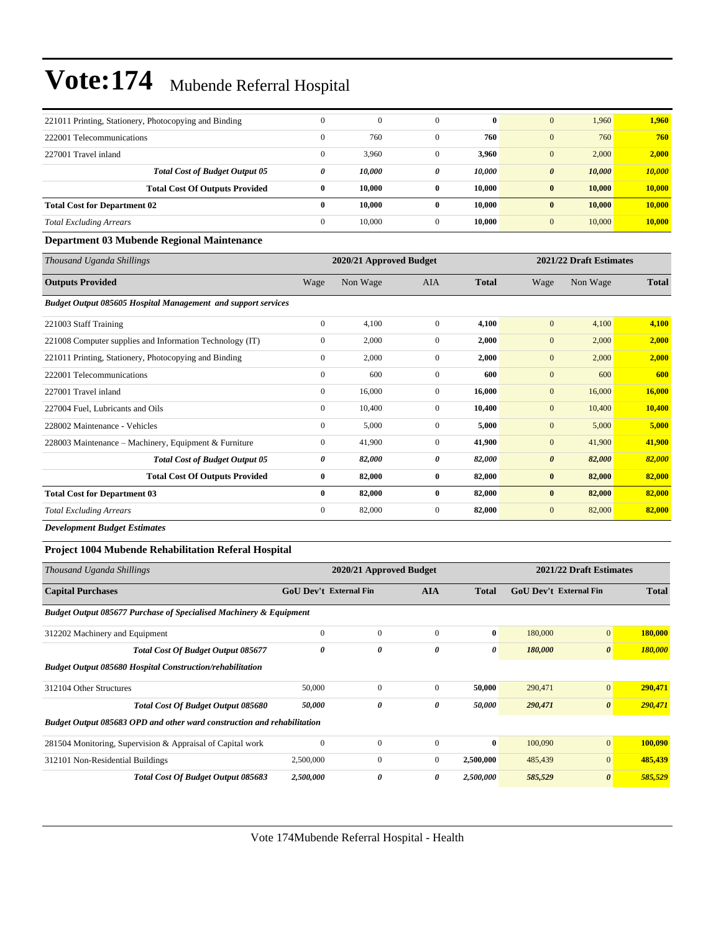| 221011 Printing, Stationery, Photocopying and Binding | $\Omega$ | $\mathbf{0}$ |              | $\mathbf{0}$ | 1.960<br>$\mathbf{0}$           | 1.960  |
|-------------------------------------------------------|----------|--------------|--------------|--------------|---------------------------------|--------|
| 222001 Telecommunications                             | $\Omega$ | 760          |              | 760          | 760<br>$\Omega$                 | 760    |
| 227001 Travel inland                                  | $\Omega$ | 3,960        | 0            | 3.960        | 2,000<br>$\Omega$               | 2,000  |
| <b>Total Cost of Budget Output 05</b>                 | 0        | 10,000       | 0            | 10,000       | 10,000<br>$\boldsymbol{\theta}$ | 10,000 |
| <b>Total Cost Of Outputs Provided</b>                 | 0        | 10.000       | $\mathbf{0}$ | 10.000       | 10.000<br>$\bf{0}$              | 10,000 |
| <b>Total Cost for Department 02</b>                   | 0        | 10.000       | 0            | 10.000       | 10.000<br>$\bf{0}$              | 10,000 |
| <b>Total Excluding Arrears</b>                        | $\Omega$ | 10.000       | $\mathbf{0}$ | 10.000       | 10,000<br>$\mathbf{0}$          | 10.000 |

#### **Department 03 Mubende Regional Maintenance**

| Thousand Uganda Shillings                                            |              | 2020/21 Approved Budget |                |              |                       | 2021/22 Draft Estimates |              |
|----------------------------------------------------------------------|--------------|-------------------------|----------------|--------------|-----------------------|-------------------------|--------------|
| <b>Outputs Provided</b>                                              | Wage         | Non Wage                | AIA            | <b>Total</b> | Wage                  | Non Wage                | <b>Total</b> |
| <b>Budget Output 085605 Hospital Management and support services</b> |              |                         |                |              |                       |                         |              |
| 221003 Staff Training                                                | $\mathbf{0}$ | 4,100                   | $\mathbf{0}$   | 4,100        | $\mathbf{0}$          | 4,100                   | 4,100        |
| 221008 Computer supplies and Information Technology (IT)             | $\mathbf{0}$ | 2,000                   | $\overline{0}$ | 2,000        | $\mathbf{0}$          | 2,000                   | 2,000        |
| 221011 Printing, Stationery, Photocopying and Binding                | $\mathbf{0}$ | 2,000                   | $\Omega$       | 2,000        | $\mathbf{0}$          | 2,000                   | 2,000        |
| 222001 Telecommunications                                            | $\mathbf{0}$ | 600                     | $\overline{0}$ | 600          | $\mathbf{0}$          | 600                     | 600          |
| 227001 Travel inland                                                 | $\mathbf{0}$ | 16,000                  | $\overline{0}$ | 16,000       | $\mathbf{0}$          | 16,000                  | 16,000       |
| 227004 Fuel, Lubricants and Oils                                     | $\mathbf{0}$ | 10,400                  | $\overline{0}$ | 10,400       | $\mathbf{0}$          | 10,400                  | 10,400       |
| 228002 Maintenance - Vehicles                                        | $\mathbf{0}$ | 5,000                   | $\overline{0}$ | 5,000        | $\mathbf{0}$          | 5,000                   | 5,000        |
| 228003 Maintenance – Machinery, Equipment & Furniture                | $\mathbf{0}$ | 41,900                  | $\overline{0}$ | 41,900       | $\mathbf{0}$          | 41,900                  | 41,900       |
| <b>Total Cost of Budget Output 05</b>                                | 0            | 82,000                  | 0              | 82,000       | $\boldsymbol{\theta}$ | 82,000                  | 82,000       |
| <b>Total Cost Of Outputs Provided</b>                                | $\bf{0}$     | 82,000                  | $\bf{0}$       | 82,000       | $\bf{0}$              | 82,000                  | 82,000       |
| <b>Total Cost for Department 03</b>                                  | $\bf{0}$     | 82,000                  | $\bf{0}$       | 82,000       | $\bf{0}$              | 82,000                  | 82,000       |
| <b>Total Excluding Arrears</b>                                       | $\mathbf{0}$ | 82,000                  | 0              | 82,000       | $\mathbf{0}$          | 82,000                  | 82,000       |

#### *Development Budget Estimates*

#### **Project 1004 Mubende Rehabilitation Referal Hospital**

| Thousand Uganda Shillings                                                     |                               | 2020/21 Approved Budget |            |              |                               | 2021/22 Draft Estimates |              |  |
|-------------------------------------------------------------------------------|-------------------------------|-------------------------|------------|--------------|-------------------------------|-------------------------|--------------|--|
| <b>Capital Purchases</b>                                                      | <b>GoU Dev't External Fin</b> |                         | <b>AIA</b> | <b>Total</b> | <b>GoU Dev't External Fin</b> |                         | <b>Total</b> |  |
| <b>Budget Output 085677 Purchase of Specialised Machinery &amp; Equipment</b> |                               |                         |            |              |                               |                         |              |  |
| 312202 Machinery and Equipment                                                | $\Omega$                      | $\mathbf{0}$            | $\Omega$   | $\bf{0}$     | 180,000                       | $\overline{0}$          | 180,000      |  |
| Total Cost Of Budget Output 085677                                            | $\boldsymbol{\theta}$         | 0                       | 0          | 0            | 180,000                       | $\boldsymbol{\theta}$   | 180,000      |  |
| <b>Budget Output 085680 Hospital Construction/rehabilitation</b>              |                               |                         |            |              |                               |                         |              |  |
| 312104 Other Structures                                                       | 50,000                        | $\Omega$                | $\Omega$   | 50,000       | 290,471                       | $\overline{0}$          | 290,471      |  |
| <b>Total Cost Of Budget Output 085680</b>                                     | 50,000                        | 0                       | 0          | 50,000       | 290,471                       | $\boldsymbol{\theta}$   | 290,471      |  |
| Budget Output 085683 OPD and other ward construction and rehabilitation       |                               |                         |            |              |                               |                         |              |  |
| 281504 Monitoring, Supervision & Appraisal of Capital work                    | $\mathbf{0}$                  | $\mathbf{0}$            | $\Omega$   | $\bf{0}$     | 100,090                       | $\overline{0}$          | 100,090      |  |
| 312101 Non-Residential Buildings                                              | 2,500,000                     | $\mathbf{0}$            | $\Omega$   | 2,500,000    | 485,439                       | $\overline{0}$          | 485,439      |  |
| Total Cost Of Budget Output 085683                                            | 2,500,000                     | 0                       | 0          | 2,500,000    | 585,529                       | $\boldsymbol{\theta}$   | 585,529      |  |